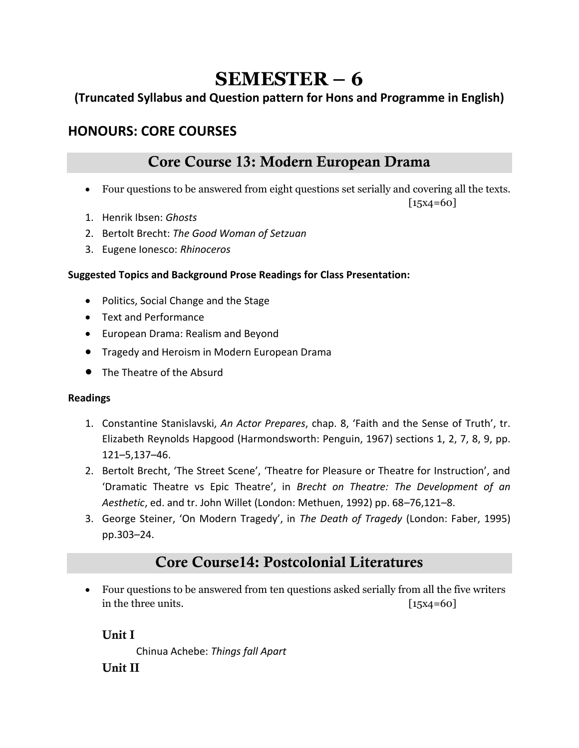# **SEMESTER – 6**

### **(Truncated Syllabus and Question pattern for Hons and Programme in English)**

## **HONOURS: CORE COURSES**

## Core Course 13: Modern European Drama

• Four questions to be answered from eight questions set serially and covering all the texts.

 $[15x4=60]$ 

- 1. Henrik Ibsen: *Ghosts*
- 2. Bertolt Brecht: *The Good Woman of Setzuan*
- 3. Eugene Ionesco: *Rhinoceros*

### **Suggested Topics and Background Prose Readings for Class Presentation:**

- Politics, Social Change and the Stage
- Text and Performance
- European Drama: Realism and Beyond
- Tragedy and Heroism in Modern European Drama
- The Theatre of the Absurd

### **Readings**

- 1. Constantine Stanislavski, *An Actor Prepares*, chap. 8, 'Faith and the Sense of Truth', tr. Elizabeth Reynolds Hapgood (Harmondsworth: Penguin, 1967) sections 1, 2, 7, 8, 9, pp. 121–5,137–46.
- 2. Bertolt Brecht, 'The Street Scene', 'Theatre for Pleasure or Theatre for Instruction', and 'Dramatic Theatre vs Epic Theatre', in *Brecht on Theatre: The Development of an Aesthetic*, ed. and tr. John Willet (London: Methuen, 1992) pp. 68–76,121–8.
- 3. George Steiner, 'On Modern Tragedy', in *The Death of Tragedy* (London: Faber, 1995) pp.303–24.

## Core Course14: Postcolonial Literatures

• Four questions to be answered from ten questions asked serially from all the five writers in the three units. [15x4=60]

Unit I

Chinua Achebe: *Things fall Apart* Unit II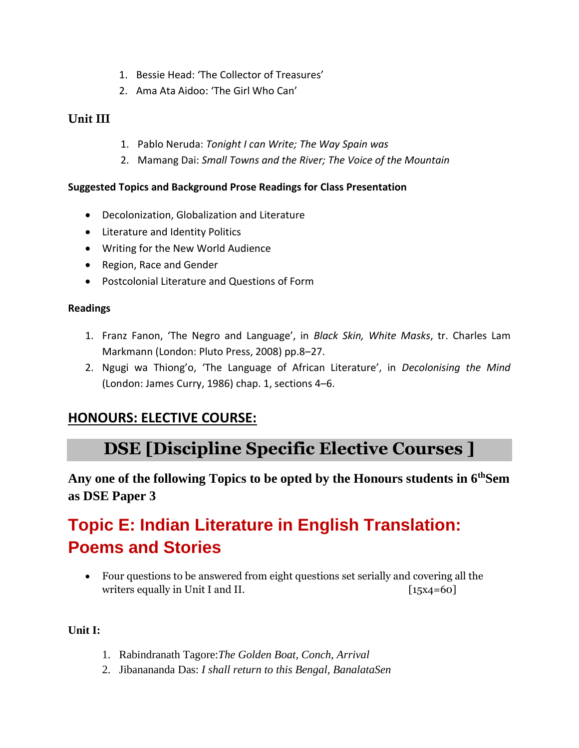- 1. Bessie Head: 'The Collector of Treasures'
- 2. Ama Ata Aidoo: 'The Girl Who Can'

### Unit III

- 1. Pablo Neruda: *Tonight I can Write; The Way Spain was*
- 2. Mamang Dai: *Small Towns and the River; The Voice of the Mountain*

### **Suggested Topics and Background Prose Readings for Class Presentation**

- Decolonization, Globalization and Literature
- Literature and Identity Politics
- Writing for the New World Audience
- Region, Race and Gender
- Postcolonial Literature and Questions of Form

### **Readings**

- 1. Franz Fanon, 'The Negro and Language', in *Black Skin, White Masks*, tr. Charles Lam Markmann (London: Pluto Press, 2008) pp.8–27.
- 2. Ngugi wa Thiong'o, 'The Language of African Literature', in *Decolonising the Mind* (London: James Curry, 1986) chap. 1, sections 4–6.

## **HONOURS: ELECTIVE COURSE:**

# **DSE [Discipline Specific Elective Courses ]**

**Any one of the following Topics to be opted by the Honours students in 6thSem as DSE Paper 3**

# **Topic E: Indian Literature in English Translation: Poems and Stories**

• Four questions to be answered from eight questions set serially and covering all the writers equally in Unit I and II.  $\begin{bmatrix} 15x4 = 60 \end{bmatrix}$ 

### **Unit I:**

- 1. Rabindranath Tagore:*The Golden Boat, Conch, Arrival*
- 2. Jibanananda Das: *I shall return to this Bengal, BanalataSen*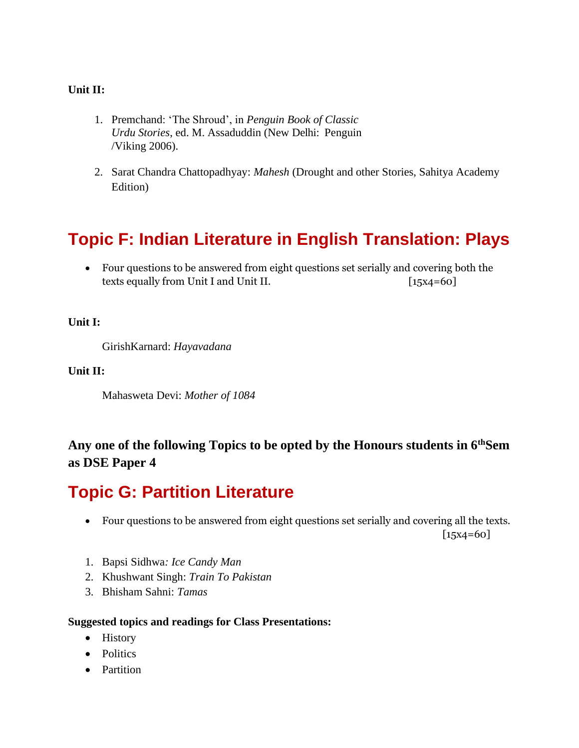### **Unit II:**

- 1. Premchand: 'The Shroud', in *Penguin Book of Classic Urdu Stories*, ed. M. Assaduddin (New Delhi: Penguin /Viking 2006).
- 2. Sarat Chandra Chattopadhyay: *Mahesh* (Drought and other Stories, Sahitya Academy Edition)

# **Topic F: Indian Literature in English Translation: Plays**

• Four questions to be answered from eight questions set serially and covering both the texts equally from Unit I and Unit II. [15x4=60]

#### **Unit I:**

GirishKarnard: *Hayavadana*

#### **Unit II:**

Mahasweta Devi: *Mother of 1084*

### **Any one of the following Topics to be opted by the Honours students in 6thSem as DSE Paper 4**

# **Topic G: Partition Literature**

• Four questions to be answered from eight questions set serially and covering all the texts.

 $[15x4=60]$ 

- 1. Bapsi Sidhwa*: Ice Candy Man*
- 2. Khushwant Singh: *Train To Pakistan*
- 3. Bhisham Sahni: *Tamas*

#### **Suggested topics and readings for Class Presentations:**

- History
- Politics
- Partition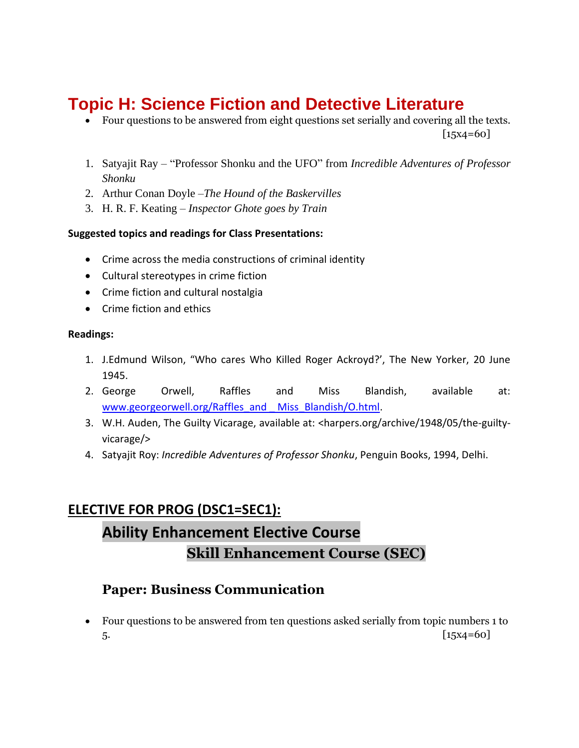# **Topic H: Science Fiction and Detective Literature**

- Four questions to be answered from eight questions set serially and covering all the texts.  $[15x4=60]$
- 1. Satyajit Ray "Professor Shonku and the UFO" from *Incredible Adventures of Professor Shonku*
- 2. Arthur Conan Doyle –*The Hound of the Baskervilles*
- 3. H. R. F. Keating *Inspector Ghote goes by Train*

### **Suggested topics and readings for Class Presentations:**

- Crime across the media constructions of criminal identity
- Cultural stereotypes in crime fiction
- Crime fiction and cultural nostalgia
- Crime fiction and ethics

#### **Readings:**

- 1. J.Edmund Wilson, "Who cares Who Killed Roger Ackroyd?', The New Yorker, 20 June 1945.
- 2. George Orwell, Raffles and Miss Blandish, available at: [www.georgeorwell.org/Raffles\\_and \\_ Miss\\_Blandish/O.html.](http://www.georgeorwell.org/Raffles_and%20_%20Miss_Blandish/O.html)
- 3. W.H. Auden, The Guilty Vicarage, available at: <harpers.org/archive/1948/05/the-guiltyvicarage/>
- 4. Satyajit Roy: *Incredible Adventures of Professor Shonku*, Penguin Books, 1994, Delhi.

## **ELECTIVE FOR PROG (DSC1=SEC1):**

# **Ability Enhancement Elective Course Skill Enhancement Course (SEC)**

### **Paper: Business Communication**

• Four questions to be answered from ten questions asked serially from topic numbers 1 to 5. [15x4=60]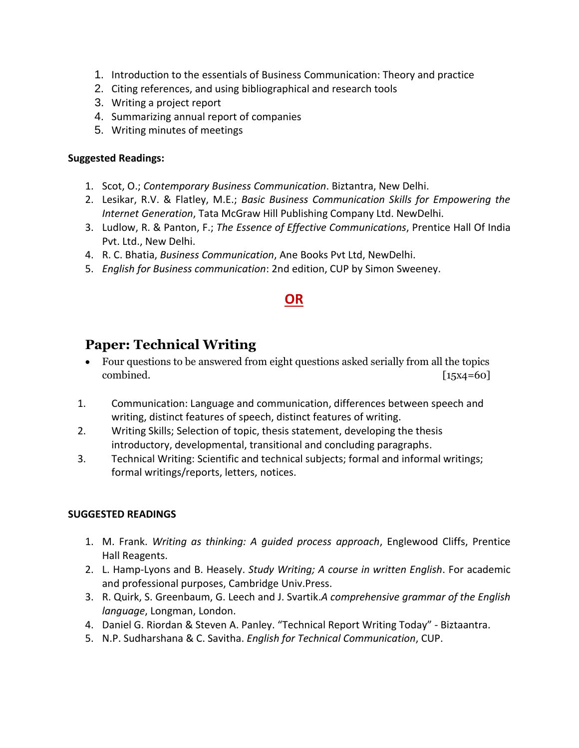- 1. Introduction to the essentials of Business Communication: Theory and practice
- 2. Citing references, and using bibliographical and research tools
- 3. Writing a project report
- 4. Summarizing annual report of companies
- 5. Writing minutes of meetings

### **Suggested Readings:**

- 1. Scot, O.; *Contemporary Business Communication*. Biztantra, New Delhi.
- 2. Lesikar, R.V. & Flatley, M.E.; *Basic Business Communication Skills for Empowering the Internet Generation*, Tata McGraw Hill Publishing Company Ltd. NewDelhi.
- 3. Ludlow, R. & Panton, F.; *The Essence of Effective Communications*, Prentice Hall Of India Pvt. Ltd., New Delhi.
- 4. R. C. Bhatia, *Business Communication*, Ane Books Pvt Ltd, NewDelhi.
- 5. *English for Business communication*: 2nd edition, CUP by Simon Sweeney.

## **OR**

### **Paper: Technical Writing**

- Four questions to be answered from eight questions asked serially from all the topics combined. [15x4=60]
- 1. Communication: Language and communication, differences between speech and writing, distinct features of speech, distinct features of writing.
- 2. Writing Skills; Selection of topic, thesis statement, developing the thesis introductory, developmental, transitional and concluding paragraphs.
- 3. Technical Writing: Scientific and technical subjects; formal and informal writings; formal writings/reports, letters, notices.

### **SUGGESTED READINGS**

- 1. M. Frank. *Writing as thinking: A guided process approach*, Englewood Cliffs, Prentice Hall Reagents.
- 2. L. Hamp-Lyons and B. Heasely. *Study Writing; A course in written English*. For academic and professional purposes, Cambridge Univ.Press.
- 3. R. Quirk, S. Greenbaum, G. Leech and J. Svartik.*A comprehensive grammar of the English language*, Longman, London.
- 4. Daniel G. Riordan & Steven A. Panley. "Technical Report Writing Today" Biztaantra.
- 5. N.P. Sudharshana & C. Savitha. *English for Technical Communication*, CUP.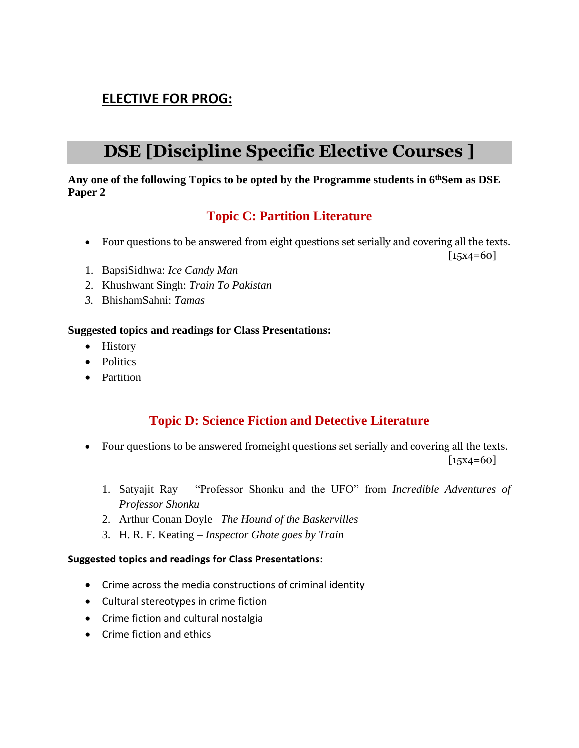## **ELECTIVE FOR PROG:**

# **DSE [Discipline Specific Elective Courses ]**

### **Any one of the following Topics to be opted by the Programme students in 6thSem as DSE Paper 2**

### **Topic C: Partition Literature**

• Four questions to be answered from eight questions set serially and covering all the texts.

 $[15x4=60]$ 

- 1. BapsiSidhwa: *Ice Candy Man*
- 2. Khushwant Singh: *Train To Pakistan*
- *3.* BhishamSahni: *Tamas*

### **Suggested topics and readings for Class Presentations:**

- History
- Politics
- Partition

### **Topic D: Science Fiction and Detective Literature**

- Four questions to be answered fromeight questions set serially and covering all the texts.  $[15x4=60]$ 
	- 1. Satyajit Ray "Professor Shonku and the UFO" from *Incredible Adventures of Professor Shonku*
	- 2. Arthur Conan Doyle –*The Hound of the Baskervilles*
	- 3. H. R. F. Keating *Inspector Ghote goes by Train*

### **Suggested topics and readings for Class Presentations:**

- Crime across the media constructions of criminal identity
- Cultural stereotypes in crime fiction
- Crime fiction and cultural nostalgia
- Crime fiction and ethics